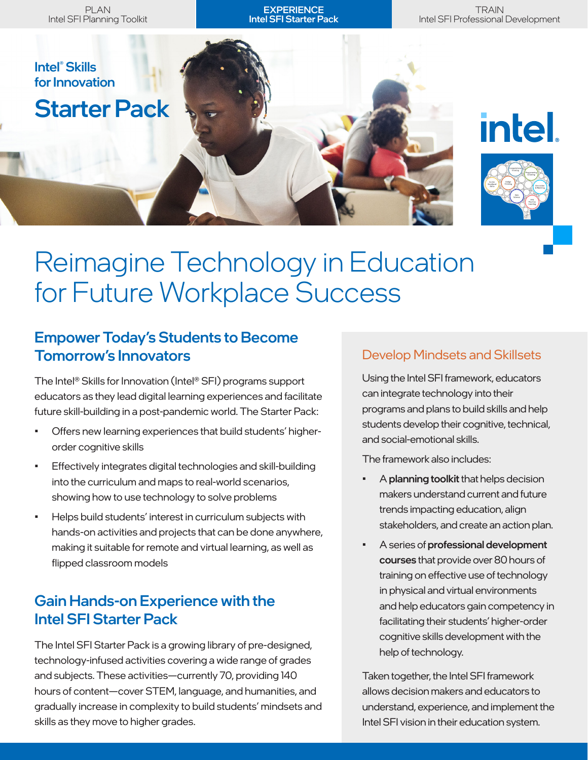**EXPERIENCE** Intel SFI Starter Pack

**TRAIN** Intel SFI Professional Development



**intel** 



# Reimagine Technology in Education for Future Workplace Success

## Empower Today's Students to Become Tomorrow's Innovators

The Intel® Skills for Innovation (Intel® SFI) programs support educators as they lead digital learning experiences and facilitate future skill-building in a post-pandemic world. The Starter Pack:

- Offers new learning experiences that build students' higherorder cognitive skills
- Effectively integrates digital technologies and skill-building into the curriculum and maps to real-world scenarios, showing how to use technology to solve problems
- Helps build students' interest in curriculum subjects with hands-on activities and projects that can be done anywhere, making it suitable for remote and virtual learning, as well as flipped classroom models

# Gain Hands-on Experience with the Intel SFI Starter Pack

The Intel SFI Starter Pack is a growing library of pre-designed, technology-infused activities covering a wide range of grades and subjects. These activities—currently 70, providing 140 hours of content—cover STEM, language, and humanities, and gradually increase in complexity to build students' mindsets and skills as they move to higher grades.

## Develop Mindsets and Skillsets

Using the Intel SFI framework, educators can integrate technology into their programs and plans to build skills and help students develop their cognitive, technical, and social-emotional skills.

The framework also includes:

- A planning toolkit that helps decision makers understand current and future trends impacting education, align stakeholders, and create an action plan.
- A series of professional development courses that provide over 80 hours of training on effective use of technology in physical and virtual environments and help educators gain competency in facilitating their students' higher-order cognitive skills development with the help of technology.

Taken together, the Intel SFI framework allows decision makers and educators to understand, experience, and implement the Intel SFI vision in their education system.